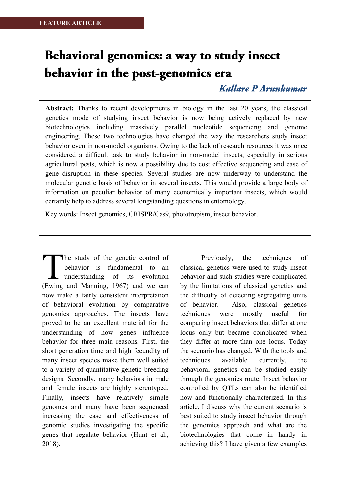# Behavioral genomics: a way to study insect behavior in the post-genomics era

## **Kallare P Arunkumar**

**Abstract:** Thanks to recent developments in biology in the last 20 years, the classical genetics mode of studying insect behavior is now being actively replaced by new biotechnologies including massively parallel nucleotide sequencing and genome engineering. These two technologies have changed the way the researchers study insect behavior even in non-model organisms. Owing to the lack of research resources it was once considered a difficult task to study behavior in non-model insects, especially in serious agricultural pests, which is now a possibility due to cost effective sequencing and ease of gene disruption in these species. Several studies are now underway to understand the molecular genetic basis of behavior in several insects. This would provide a large body of information on peculiar behavior of many economically important insects, which would certainly help to address several longstanding questions in entomology.

Key words: Insect genomics, CRISPR/Cas9, phototropism, insect behavior.

The study of the genetic control of behavior is fundamental to an understanding of its evolution The study of the genetic control of<br>behavior is fundamental to an<br>understanding of its evolution<br>(Ewing and Manning, 1967) and we can now make a fairly consistent interpretation of behavioral evolution by comparative genomics approaches. The insects have proved to be an excellent material for the understanding of how genes influence behavior for three main reasons. First, the short generation time and high fecundity of many insect species make them well suited to a variety of quantitative genetic breeding designs. Secondly, many behaviors in male and female insects are highly stereotyped. Finally, insects have relatively simple genomes and many have been sequenced increasing the ease and effectiveness of genomic studies investigating the specific genes that regulate behavior (Hunt et al., 2018).

Previously, the techniques of classical genetics were used to study insect behavior and such studies were complicated by the limitations of classical genetics and the difficulty of detecting segregating units of behavior. Also, classical genetics techniques were mostly useful for comparing insect behaviors that differ at one locus only but became complicated when they differ at more than one locus. Today the scenario has changed. With the tools and techniques available currently, the behavioral genetics can be studied easily through the genomics route. Insect behavior controlled by QTLs can also be identified now and functionally characterized. In this article, I discuss why the current scenario is best suited to study insect behavior through the genomics approach and what are the biotechnologies that come in handy in achieving this? I have given a few examples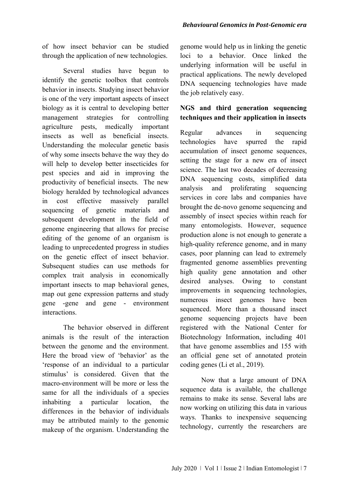of how insect behavior can be studied through the application of new technologies.

Several studies have begun to identify the genetic toolbox that controls behavior in insects. Studying insect behavior is one of the very important aspects of insect biology as it is central to developing better management strategies for controlling agriculture pests, medically important insects as well as beneficial insects. Understanding the molecular genetic basis of why some insects behave the way they do will help to develop better insecticides for pest species and aid in improving the productivity of beneficial insects. The new biology heralded by technological advances in cost effective massively parallel sequencing of genetic materials and subsequent development in the field of genome engineering that allows for precise editing of the genome of an organism is leading to unprecedented progress in studies on the genetic effect of insect behavior. Subsequent studies can use methods for complex trait analysis in economically important insects to map behavioral genes, map out gene expression patterns and study gene -gene and gene - environment interactions.

The behavior observed in different animals is the result of the interaction between the genome and the environment. Here the broad view of 'behavior' as the 'response of an individual to a particular stimulus' is considered. Given that the macro-environment will be more or less the same for all the individuals of a species inhabiting a particular location, the differences in the behavior of individuals may be attributed mainly to the genomic makeup of the organism. Understanding the

genome would help us in linking the genetic loci to a behavior. Once linked the underlying information will be useful in practical applications. The newly developed DNA sequencing technologies have made the job relatively easy.

## **NGS and third generation sequencing techniques and their application in insects**

Regular advances in sequencing technologies have spurred the rapid accumulation of insect genome sequences, setting the stage for a new era of insect science. The last two decades of decreasing DNA sequencing costs, simplified data analysis and proliferating sequencing services in core labs and companies have brought the de-novo genome sequencing and assembly of insect species within reach for many entomologists. However, sequence production alone is not enough to generate a high-quality reference genome, and in many cases, poor planning can lead to extremely fragmented genome assemblies preventing high quality gene annotation and other desired analyses. Owing to constant improvements in sequencing technologies, numerous insect genomes have been sequenced. More than a thousand insect genome sequencing projects have been registered with the National Center for Biotechnology Information, including 401 that have genome assemblies and 155 with an official gene set of annotated protein coding genes (Li et al., 2019).

Now that a large amount of DNA sequence data is available, the challenge remains to make its sense. Several labs are now working on utilizing this data in various ways. Thanks to inexpensive sequencing technology, currently the researchers are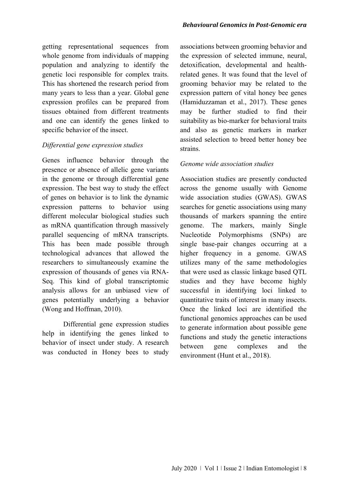getting representational sequences from whole genome from individuals of mapping population and analyzing to identify the genetic loci responsible for complex traits. This has shortened the research period from many years to less than a year. Global gene expression profiles can be prepared from tissues obtained from different treatments and one can identify the genes linked to specific behavior of the insect.

## *Differential gene expression studies*

Genes influence behavior through the presence or absence of allelic gene variants in the genome or through differential gene expression. The best way to study the effect of genes on behavior is to link the dynamic expression patterns to behavior using different molecular biological studies such as mRNA quantification through massively parallel sequencing of mRNA transcripts. This has been made possible through technological advances that allowed the researchers to simultaneously examine the expression of thousands of genes via RNA-Seq. This kind of global transcriptomic analysis allows for an unbiased view of genes potentially underlying a behavior (Wong and Hoffman, 2010).

Differential gene expression studies help in identifying the genes linked to behavior of insect under study. A research was conducted in Honey bees to study

associations between grooming behavior and the expression of selected immune, neural, detoxification, developmental and healthrelated genes. It was found that the level of grooming behavior may be related to the expression pattern of vital honey bee genes (Hamiduzzaman et al., 2017). These genes may be further studied to find their suitability as bio-marker for behavioral traits and also as genetic markers in marker assisted selection to breed better honey bee strains.

#### *Genome wide association studies*

Association studies are presently conducted across the genome usually with Genome wide association studies (GWAS). GWAS searches for genetic associations using many thousands of markers spanning the entire genome. The markers, mainly Single Nucleotide Polymorphisms (SNPs) are single base-pair changes occurring at a higher frequency in a genome. GWAS utilizes many of the same methodologies that were used as classic linkage based QTL studies and they have become highly successful in identifying loci linked to quantitative traits of interest in many insects. Once the linked loci are identified the functional genomics approaches can be used to generate information about possible gene functions and study the genetic interactions between gene complexes and the environment (Hunt et al., 2018).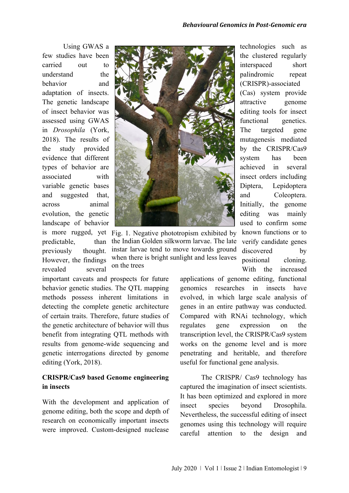Using GWAS a few studies have been carried out to understand the behavior and adaptation of insects. The genetic landscape of insect behavior was assessed using GWAS in *Drosophila* (York, 2018). The results of the study provided evidence that different types of behavior are associated with variable genetic bases and suggested that, across animal evolution, the genetic landscape of behavior predictable. previously thought. However, the findings revealed several



is more rugged, yet Fig. 1. Negative phototropism exhibited by than the Indian Golden silkworm larvae. The late instar larvae tend to move towards ground when there is bright sunlight and less leaves on the trees

important caveats and prospects for future behavior genetic studies. The QTL mapping methods possess inherent limitations in detecting the complete genetic architecture of certain traits. Therefore, future studies of the genetic architecture of behavior will thus benefit from integrating QTL methods with results from genome-wide sequencing and genetic interrogations directed by genome editing (York, 2018).

## **CRISPR/Cas9 based Genome engineering in insects**

With the development and application of genome editing, both the scope and depth of research on economically important insects were improved. Custom-designed nuclease

technologies such as the clustered regularly interspaced short palindromic repeat (CRISPR)-associated (Cas) system provide attractive genome editing tools for insect functional genetics. The targeted gene mutagenesis mediated by the CRISPR/Cas9 system has been achieved in several insect orders including Diptera, Lepidoptera and Coleoptera. Initially, the genome editing was mainly used to confirm some known functions or to verify candidate genes discovered by positional cloning. With the increased

applications of genome editing, functional genomics researches in insects have evolved, in which large scale analysis of genes in an entire pathway was conducted. Compared with RNAi technology, which regulates gene expression on the transcription level, the CRISPR/Cas9 system works on the genome level and is more penetrating and heritable, and therefore useful for functional gene analysis.

The CRISPR/ Cas9 technology has captured the imagination of insect scientists. It has been optimized and explored in more insect species beyond Drosophila. Nevertheless, the successful editing of insect genomes using this technology will require careful attention to the design and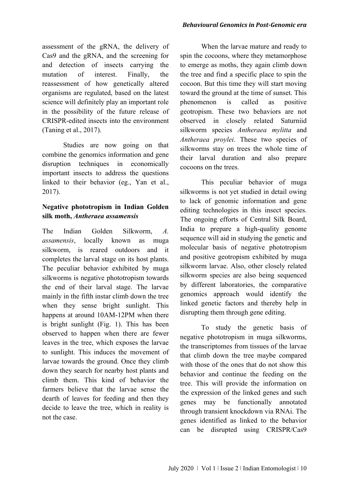assessment of the gRNA, the delivery of Cas9 and the gRNA, and the screening for and detection of insects carrying the mutation of interest. Finally, the reassessment of how genetically altered organisms are regulated, based on the latest science will definitely play an important role in the possibility of the future release of CRISPR-edited insects into the environment (Taning et al., 2017).

Studies are now going on that combine the genomics information and gene disruption techniques in economically important insects to address the questions linked to their behavior (eg., Yan et al., 2017).

## **Negative phototropism in Indian Golden silk moth,** *Antheraea assamensis*

The Indian Golden Silkworm, *A. assamensis*, locally known as muga silkworm, is reared outdoors and it completes the larval stage on its host plants. The peculiar behavior exhibited by muga silkworms is negative phototropism towards the end of their larval stage. The larvae mainly in the fifth instar climb down the tree when they sense bright sunlight. This happens at around 10AM-12PM when there is bright sunlight (Fig. 1). This has been observed to happen when there are fewer leaves in the tree, which exposes the larvae to sunlight. This induces the movement of larvae towards the ground. Once they climb down they search for nearby host plants and climb them. This kind of behavior the farmers believe that the larvae sense the dearth of leaves for feeding and then they decide to leave the tree, which in reality is not the case.

When the larvae mature and ready to spin the cocoons, where they metamorphose to emerge as moths, they again climb down the tree and find a specific place to spin the cocoon. But this time they will start moving toward the ground at the time of sunset. This phenomenon is called as positive geotropism. These two behaviors are not observed in closely related Saturniid silkworm species *Antheraea mylitta* and *Antheraea proylei*. These two species of silkworms stay on trees the whole time of their larval duration and also prepare cocoons on the trees.

This peculiar behavior of muga silkworms is not yet studied in detail owing to lack of genomic information and gene editing technologies in this insect species. The ongoing efforts of Central Silk Board, India to prepare a high-quality genome sequence will aid in studying the genetic and molecular basis of negative phototropism and positive geotropism exhibited by muga silkworm larvae. Also, other closely related silkworm species are also being sequenced by different laboratories, the comparative genomics approach would identify the linked genetic factors and thereby help in disrupting them through gene editing.

To study the genetic basis of negative phototropism in muga silkworms, the transcriptomes from tissues of the larvae that climb down the tree maybe compared with those of the ones that do not show this behavior and continue the feeding on the tree. This will provide the information on the expression of the linked genes and such genes may be functionally annotated through transient knockdown via RNAi. The genes identified as linked to the behavior can be disrupted using CRISPR/Cas9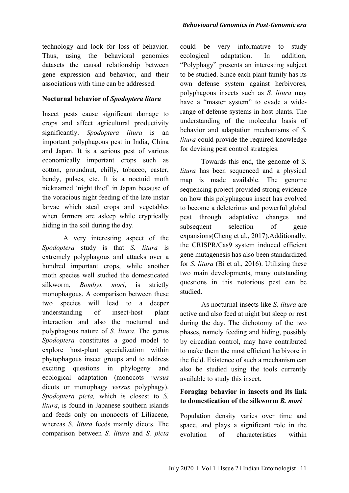technology and look for loss of behavior. Thus, using the behavioral genomics datasets the causal relationship between gene expression and behavior, and their associations with time can be addressed.

## **Nocturnal behavior of** *Spodoptera litura*

Insect pests cause significant damage to crops and affect agricultural productivity significantly. *Spodoptera litura* is an important polyphagous pest in India, China and Japan. It is a serious pest of various economically important crops such as cotton, groundnut, chilly, tobacco, caster, bendy, pulses, etc. It is a noctuid moth nicknamed 'night thief' in Japan because of the voracious night feeding of the late instar larvae which steal crops and vegetables when farmers are asleep while cryptically hiding in the soil during the day.

A very interesting aspect of the *Spodoptera* study is that *S. litura* is extremely polyphagous and attacks over a hundred important crops, while another moth species well studied the domesticated silkworm, *Bombyx mori*, is strictly monophagous. A comparison between these two species will lead to a deeper understanding of insect-host plant interaction and also the nocturnal and polyphagous nature of *S. litura*. The genus *Spodoptera* constitutes a good model to explore host-plant specialization within phytophagous insect groups and to address exciting questions in phylogeny and ecological adaptation (monocots *versus* dicots or monophagy *versus* polyphagy). *Spodoptera picta,* which is closest to *S. litura*, is found in Japanese southern islands and feeds only on monocots of Liliaceae, whereas *S. litura* feeds mainly dicots. The comparison between *S. litura* and *S. picta*

could be very informative to study ecological adaptation. In addition, "Polyphagy" presents an interesting subject to be studied. Since each plant family has its own defense system against herbivores, polyphagous insects such as *S. litura* may have a "master system" to evade a widerange of defense systems in host plants. The understanding of the molecular basis of behavior and adaptation mechanisms of *S. litura* could provide the required knowledge for devising pest control strategies.

Towards this end, the genome of *S. litura* has been sequenced and a physical map is made available. The genome sequencing project provided strong evidence on how this polyphagous insect has evolved to become a deleterious and powerful global pest through adaptative changes and subsequent selection of gene expansions(Cheng et al., 2017).Additionally, the CRISPR/Cas9 system induced efficient gene mutagenesis has also been standardized for *S. litura* (Bi et al., 2016). Utilizing these two main developments, many outstanding questions in this notorious pest can be studied.

As nocturnal insects like *S. litura* are active and also feed at night but sleep or rest during the day. The dichotomy of the two phases, namely feeding and hiding, possibly by circadian control, may have contributed to make them the most efficient herbivore in the field. Existence of such a mechanism can also be studied using the tools currently available to study this insect.

## **Foraging behavior in insects and its link to domestication of the silkworm** *B. mori*

Population density varies over time and space, and plays a significant role in the evolution of characteristics within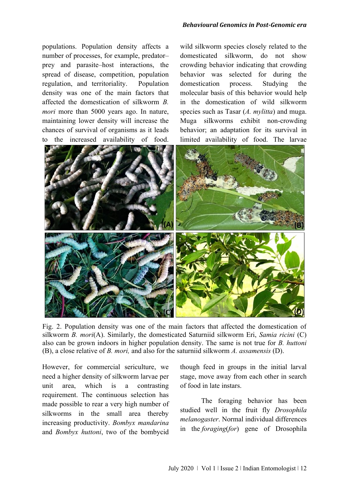populations. Population density affects a number of processes, for example, predator– prey and parasite–host interactions, the spread of disease, competition, population regulation, and territoriality. Population density was one of the main factors that affected the domestication of silkworm *B. mori* more than 5000 years ago. In nature, maintaining lower density will increase the chances of survival of organisms as it leads to the increased availability of food.

wild silkworm species closely related to the domesticated silkworm, do not show crowding behavior indicating that crowding behavior was selected for during the domestication process. Studying the molecular basis of this behavior would help in the domestication of wild silkworm species such as Tasar (*A. mylitta*) and muga. Muga silkworms exhibit non-crowding behavior; an adaptation for its survival in limited availability of food. The larvae



Fig. 2. Population density was one of the main factors that affected the domestication of silkworm *B. mori*(A). Similarly, the domesticated Saturniid silkworm Eri, *Samia ricini* (C) also can be grown indoors in higher population density. The same is not true for *B. huttoni* (B), a close relative of *B. mori,* and also for the saturniid silkworm *A. assamensis* (D).

However, for commercial sericulture, we need a higher density of silkworm larvae per unit area, which is a contrasting requirement. The continuous selection has made possible to rear a very high number of silkworms in the small area thereby increasing productivity. *Bombyx mandarina* and *Bombyx huttoni*, two of the bombycid

though feed in groups in the initial larval stage, move away from each other in search of food in late instars.

The foraging behavior has been studied well in the fruit fly *Drosophila melanogaster*. Normal individual differences in the *foraging*(*for*) gene of Drosophila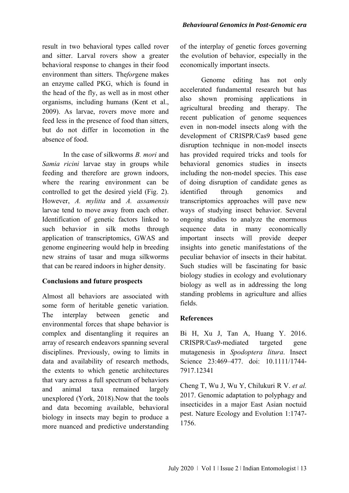result in two behavioral types called rover and sitter. Larval rovers show a greater behavioral response to changes in their food environment than sitters. The*for*gene makes an enzyme called PKG, which is found in the head of the fly, as well as in most other organisms, including humans (Kent et al., 2009). As larvae, rovers move more and feed less in the presence of food than sitters, but do not differ in locomotion in the absence of food.

In the case of silkworms *B. mori* and *Samia ricini* larvae stay in groups while feeding and therefore are grown indoors, where the rearing environment can be controlled to get the desired yield (Fig. 2). However, *A. mylitta* and *A. assamensis* larvae tend to move away from each other. Identification of genetic factors linked to such behavior in silk moths through application of transcriptomics, GWAS and genome engineering would help in breeding new strains of tasar and muga silkworms that can be reared indoors in higher density.

## **Conclusions and future prospects**

Almost all behaviors are associated with some form of heritable genetic variation. The interplay between genetic and environmental forces that shape behavior is complex and disentangling it requires an array of research endeavors spanning several disciplines. Previously, owing to limits in data and availability of research methods, the extents to which genetic architectures that vary across a full spectrum of behaviors and animal taxa remained largely unexplored (York, 2018).Now that the tools and data becoming available, behavioral biology in insects may begin to produce a more nuanced and predictive understanding

of the interplay of genetic forces governing the evolution of behavior, especially in the economically important insects.

Genome editing has not only accelerated fundamental research but has also shown promising applications in agricultural breeding and therapy. The recent publication of genome sequences even in non-model insects along with the development of CRISPR/Cas9 based gene disruption technique in non-model insects has provided required tricks and tools for behavioral genomics studies in insects including the non-model species. This ease of doing disruption of candidate genes as identified through genomics and transcriptomics approaches will pave new ways of studying insect behavior. Several ongoing studies to analyze the enormous sequence data in many economically important insects will provide deeper insights into genetic manifestations of the peculiar behavior of insects in their habitat. Such studies will be fascinating for basic biology studies in ecology and evolutionary biology as well as in addressing the long standing problems in agriculture and allies fields.

## **References**

Bi H, Xu J, Tan A, Huang Y. 2016. CRISPR/Cas9-mediated targeted gene mutagenesis in *Spodoptera litura*. Insect Science 23:469-477. doi: 10.1111/1744-7917.12341

Cheng T, Wu J, Wu Y, Chilukuri R V. *et al.* 2017. Genomic adaptation to polyphagy and insecticides in a major East Asian noctuid pest. Nature Ecology and Evolution 1:1747- 1756.